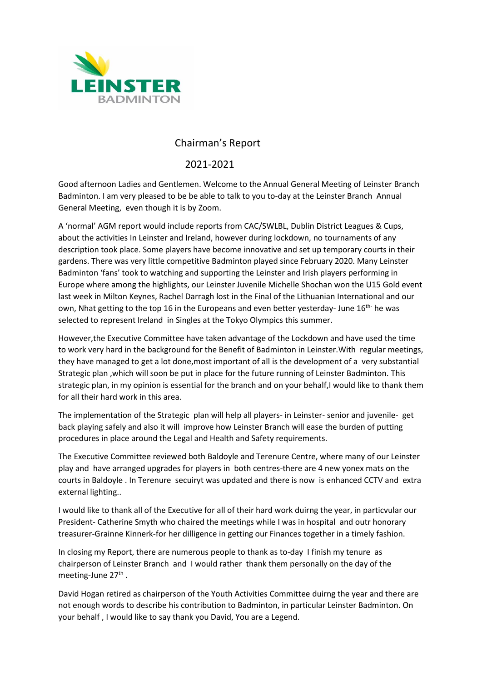

## Chairman's Report

## 2021-2021

Good afternoon Ladies and Gentlemen. Welcome to the Annual General Meeting of Leinster Branch Badminton. I am very pleased to be be able to talk to you to-day at the Leinster Branch Annual General Meeting, even though it is by Zoom.

A 'normal' AGM report would include reports from CAC/SWLBL, Dublin District Leagues & Cups, about the activities In Leinster and Ireland, however during lockdown, no tournaments of any description took place. Some players have become innovative and set up temporary courts in their gardens. There was very little competitive Badminton played since February 2020. Many Leinster Badminton 'fans' took to watching and supporting the Leinster and Irish players performing in Europe where among the highlights, our Leinster Juvenile Michelle Shochan won the U15 Gold event last week in Milton Keynes, Rachel Darragh lost in the Final of the Lithuanian International and our own, Nhat getting to the top 16 in the Europeans and even better yesterday- June  $16^{\text{th}}$  he was selected to represent Ireland in Singles at the Tokyo Olympics this summer.

However,the Executive Committee have taken advantage of the Lockdown and have used the time to work very hard in the background for the Benefit of Badminton in Leinster.With regular meetings, they have managed to get a lot done,most important of all is the development of a very substantial Strategic plan ,which will soon be put in place for the future running of Leinster Badminton. This strategic plan, in my opinion is essential for the branch and on your behalf, I would like to thank them for all their hard work in this area.

The implementation of the Strategic plan will help all players- in Leinster- senior and juvenile- get back playing safely and also it will improve how Leinster Branch will ease the burden of putting procedures in place around the Legal and Health and Safety requirements.

The Executive Committee reviewed both Baldoyle and Terenure Centre, where many of our Leinster play and have arranged upgrades for players in both centres-there are 4 new yonex mats on the courts in Baldoyle . In Terenure secuiryt was updated and there is now is enhanced CCTV and extra external lighting..

I would like to thank all of the Executive for all of their hard work duirng the year, in particvular our President- Catherine Smyth who chaired the meetings while I was in hospital and outr honorary treasurer-Grainne Kinnerk-for her dilligence in getting our Finances together in a timely fashion.

In closing my Report, there are numerous people to thank as to-day I finish my tenure as chairperson of Leinster Branch and I would rather thank them personally on the day of the meeting-June 27<sup>th</sup>.

David Hogan retired as chairperson of the Youth Activities Committee duirng the year and there are not enough words to describe his contribution to Badminton, in particular Leinster Badminton. On your behalf , I would like to say thank you David, You are a Legend.